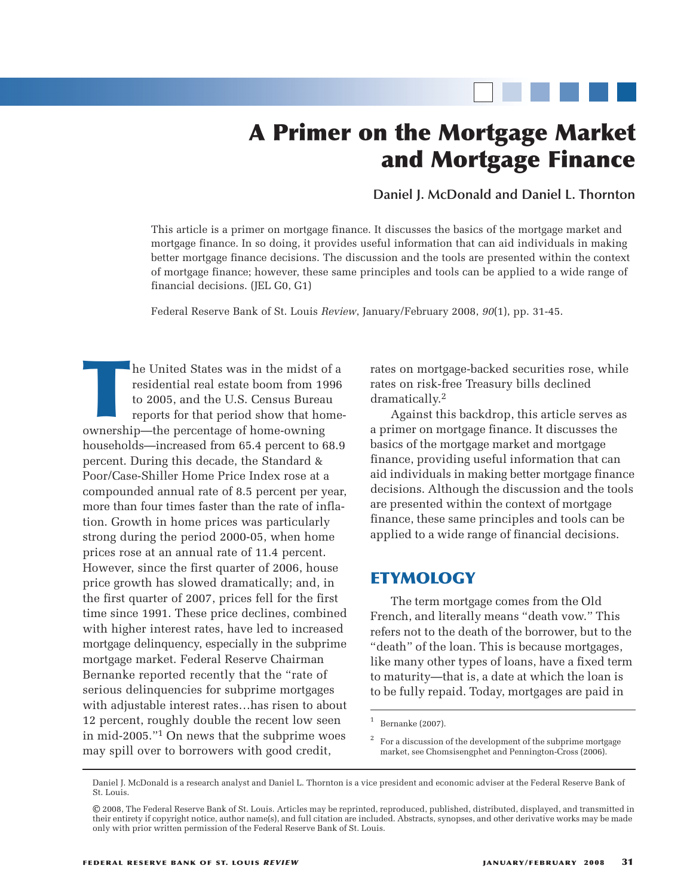# **A Primer on the Mortgage Market and Mortgage Finance**

## **Daniel J. McDonald and Daniel L. Thornton**

This article is a primer on mortgage finance. It discusses the basics of the mortgage market and mortgage finance. In so doing, it provides useful information that can aid individuals in making better mortgage finance decisions. The discussion and the tools are presented within the context of mortgage finance; however, these same principles and tools can be applied to a wide range of financial decisions. (JEL G0, G1)

Federal Reserve Bank of St. Louis *Review*, January/February 2008, *90*(1), pp. 31-45.

The United States was in the midst of a<br>residential real estate boom from 1996<br>to 2005, and the U.S. Census Bureau<br>reports for that period show that home<br>ownership—the percentage of home-owning residential real estate boom from 1996 to 2005, and the U.S. Census Bureau reports for that period show that homehouseholds—increased from 65.4 percent to 68.9 percent. During this decade, the Standard & Poor/Case-Shiller Home Price Index rose at a compounded annual rate of 8.5 percent per year, more than four times faster than the rate of inflation. Growth in home prices was particularly strong during the period 2000-05, when home prices rose at an annual rate of 11.4 percent. However, since the first quarter of 2006, house price growth has slowed dramatically; and, in the first quarter of 2007, prices fell for the first time since 1991. These price declines, combined with higher interest rates, have led to increased mortgage delinquency, especially in the subprime mortgage market. Federal Reserve Chairman Bernanke reported recently that the "rate of serious delinquencies for subprime mortgages with adjustable interest rates…has risen to about 12 percent, roughly double the recent low seen in mid-2005."1 On news that the subprime woes may spill over to borrowers with good credit,

rates on mortgage-backed securities rose, while rates on risk-free Treasury bills declined dramatically. 2

Against this backdrop, this article serves as a primer on mortgage finance. It discusses the basics of the mortgage market and mortgage finance, providing useful information that can aid individuals in making better mortgage finance decisions. Although the discussion and the tools are presented within the context of mortgage finance, these same principles and tools can be applied to a wide range of financial decisions.

# **ETYMOLOGY**

The term mortgage comes from the Old French, and literally means "death vow." This refers not to the death of the borrower, but to the "death" of the loan. This is because mortgages, like many other types of loans, have a fixed term to maturity—that is, a date at which the loan is to be fully repaid. Today, mortgages are paid in

 $1$  Bernanke (2007).

<sup>2</sup> For a discussion of the development of the subprime mortgage market, see Chomsisengphet and Pennington-Cross (2006).

Daniel J. McDonald is a research analyst and Daniel L. Thornton is a vice president and economic adviser at the Federal Reserve Bank of St. Louis.

<sup>©</sup> 2008, The Federal Reserve Bank of St. Louis. Articles may be reprinted, reproduced, published, distributed, displayed, and transmitted in their entirety if copyright notice, author name(s), and full citation are included. Abstracts, synopses, and other derivative works may be made only with prior written permission of the Federal Reserve Bank of St. Louis.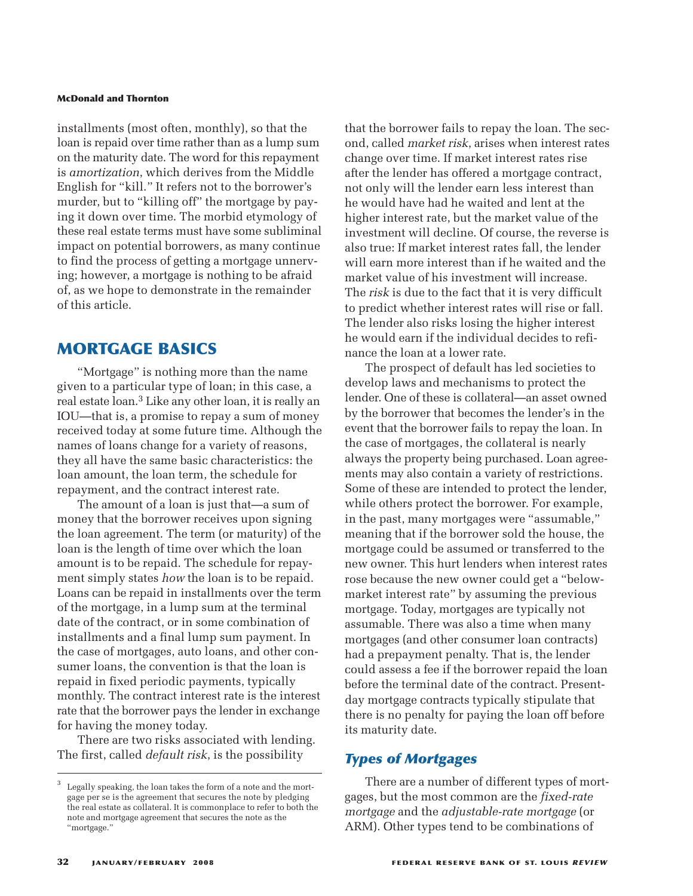installments (most often, monthly), so that the loan is repaid over time rather than as a lump sum on the maturity date. The word for this repayment is *amortization*, which derives from the Middle English for "kill." It refers not to the borrower's murder, but to "killing off" the mortgage by paying it down over time. The morbid etymology of these real estate terms must have some subliminal impact on potential borrowers, as many continue to find the process of getting a mortgage unnerving; however, a mortgage is nothing to be afraid of, as we hope to demonstrate in the remainder of this article.

# **MORTGAGE BASICS**

"Mortgage" is nothing more than the name given to a particular type of loan; in this case, a real estate loan. 3 Like any other loan, it is really an IOU—that is, a promise to repay a sum of money received today at some future time. Although the names of loans change for a variety of reasons, they all have the same basic characteristics: the loan amount, the loan term, the schedule for repayment, and the contract interest rate.

The amount of a loan is just that—a sum of money that the borrower receives upon signing the loan agreement. The term (or maturity) of the loan is the length of time over which the loan amount is to be repaid. The schedule for repayment simply states *how* the loan is to be repaid. Loans can be repaid in installments over the term of the mortgage, in a lump sum at the terminal date of the contract, or in some combination of installments and a final lump sum payment. In the case of mortgages, auto loans, and other consumer loans, the convention is that the loan is repaid in fixed periodic payments, typically monthly. The contract interest rate is the interest rate that the borrower pays the lender in exchange for having the money today.

There are two risks associated with lending. The first, called *default risk*, is the possibility

that the borrower fails to repay the loan. The second, called *market risk*, arises when interest rates change over time. If market interest rates rise after the lender has offered a mortgage contract, not only will the lender earn less interest than he would have had he waited and lent at the higher interest rate, but the market value of the investment will decline. Of course, the reverse is also true: If market interest rates fall, the lender will earn more interest than if he waited and the market value of his investment will increase. The *risk* is due to the fact that it is very difficult to predict whether interest rates will rise or fall. The lender also risks losing the higher interest he would earn if the individual decides to refinance the loan at a lower rate.

The prospect of default has led societies to develop laws and mechanisms to protect the lender. One of these is collateral—an asset owned by the borrower that becomes the lender's in the event that the borrower fails to repay the loan. In the case of mortgages, the collateral is nearly always the property being purchased. Loan agreements may also contain a variety of restrictions. Some of these are intended to protect the lender, while others protect the borrower. For example, in the past, many mortgages were "assumable," meaning that if the borrower sold the house, the mortgage could be assumed or transferred to the new owner. This hurt lenders when interest rates rose because the new owner could get a "belowmarket interest rate" by assuming the previous mortgage. Today, mortgages are typically not assumable. There was also a time when many mortgages (and other consumer loan contracts) had a prepayment penalty. That is, the lender could assess a fee if the borrower repaid the loan before the terminal date of the contract. Presentday mortgage contracts typically stipulate that there is no penalty for paying the loan off before its maturity date.

## *Types of Mortgages*

There are a number of different types of mortgages, but the most common are the *fixed-rate mortgage* and the *adjustable-rate mortgage* (or ARM). Other types tend to be combinations of

Legally speaking, the loan takes the form of a note and the mortgage per se is the agreement that secures the note by pledging the real estate as collateral. It is commonplace to refer to both the note and mortgage agreement that secures the note as the "mortgage."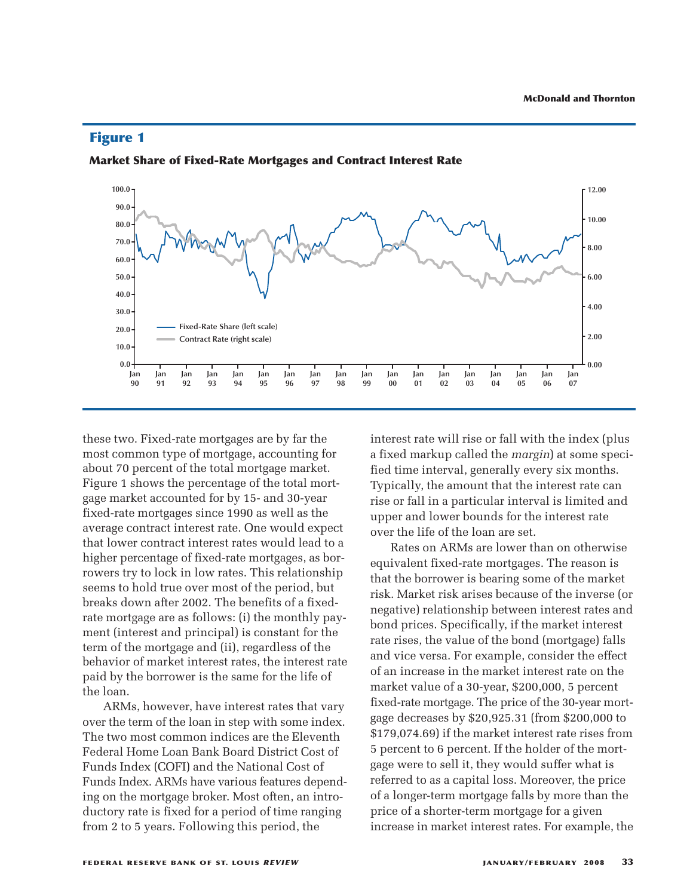

## **Figure 1**

**Market Share of Fixed-Rate Mortgages and Contract Interest Rate**

these two. Fixed-rate mortgages are by far the most common type of mortgage, accounting for about 70 percent of the total mortgage market. Figure 1 shows the percentage of the total mortgage market accounted for by 15- and 30-year fixed-rate mortgages since 1990 as well as the average contract interest rate. One would expect that lower contract interest rates would lead to a higher percentage of fixed-rate mortgages, as borrowers try to lock in low rates. This relationship seems to hold true over most of the period, but breaks down after 2002. The benefits of a fixedrate mortgage are as follows: (i) the monthly payment (interest and principal) is constant for the term of the mortgage and (ii), regardless of the behavior of market interest rates, the interest rate paid by the borrower is the same for the life of the loan.

ARMs, however, have interest rates that vary over the term of the loan in step with some index. The two most common indices are the Eleventh Federal Home Loan Bank Board District Cost of Funds Index (COFI) and the National Cost of Funds Index. ARMs have various features depending on the mortgage broker. Most often, an introductory rate is fixed for a period of time ranging from 2 to 5 years. Following this period, the

interest rate will rise or fall with the index (plus a fixed markup called the *margin*) at some specified time interval, generally every six months. Typically, the amount that the interest rate can rise or fall in a particular interval is limited and upper and lower bounds for the interest rate over the life of the loan are set.

Rates on ARMs are lower than on otherwise equivalent fixed-rate mortgages. The reason is that the borrower is bearing some of the market risk. Market risk arises because of the inverse (or negative) relationship between interest rates and bond prices. Specifically, if the market interest rate rises, the value of the bond (mortgage) falls and vice versa. For example, consider the effect of an increase in the market interest rate on the market value of a 30-year, \$200,000, 5 percent fixed-rate mortgage. The price of the 30-year mortgage decreases by \$20,925.31 (from \$200,000 to \$179,074.69) if the market interest rate rises from 5 percent to 6 percent. If the holder of the mortgage were to sell it, they would suffer what is referred to as a capital loss. Moreover, the price of a longer-term mortgage falls by more than the price of a shorter-term mortgage for a given increase in market interest rates. For example, the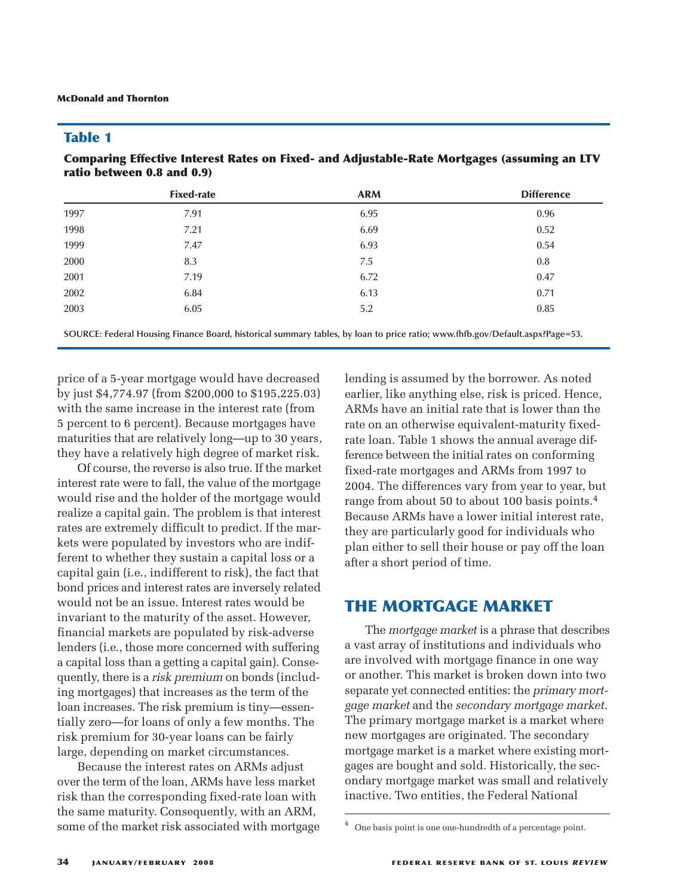## **Table 1**

**Comparing Effective Interest Rates on Fixed- and Adjustable-Rate Mortgages (assuming an LTV ratio between 0.8 and 0.9)**

**SOURCE: Federal Housing Finance Board, historical summary tables, by loan to price ratio; www.fhfb.gov/Default.aspx?Page=53.**

price of a 5-year mortgage would have decreased by just \$4,774.97 (from \$200,000 to \$195,225.03) with the same increase in the interest rate (from 5 percent to 6 percent). Because mortgages have maturities that are relatively long—up to 30 years, they have a relatively high degree of market risk.

Of course, the reverse is also true. If the market interest rate were to fall, the value of the mortgage would rise and the holder of the mortgage would realize a capital gain. The problem is that interest rates are extremely difficult to predict. If the markets were populated by investors who are indifferent to whether they sustain a capital loss or a capital gain (i.e., indifferent to risk), the fact that bond prices and interest rates are inversely related would not be an issue. Interest rates would be invariant to the maturity of the asset. However, financial markets are populated by risk-adverse lenders (i.e., those more concerned with suffering a capital loss than a getting a capital gain). Consequently, there is a *risk premium* on bonds (including mortgages) that increases as the term of the loan increases. The risk premium is tiny—essentially zero—for loans of only a few months. The risk premium for 30-year loans can be fairly large, depending on market circumstances.

Because the interest rates on ARMs adjust over the term of the loan, ARMs have less market risk than the corresponding fixed-rate loan with the same maturity. Consequently, with an ARM, some of the market risk associated with mortgage lending is assumed by the borrower. As noted earlier, like anything else, risk is priced. Hence, ARMs have an initial rate that is lower than the rate on an otherwise equivalent-maturity fixedrate loan. Table 1 shows the annual average difference between the initial rates on conforming fixed-rate mortgages and ARMs from 1997 to 2004. The differences vary from year to year, but range from about 50 to about 100 basis points. $^4$ Because ARMs have a lower initial interest rate, they are particularly good for individuals who plan either to sell their house or pay off the loan after a short period of time.

# **THE MORTGAGE MARKET**

The *mortgage market* is a phrase that describes a vast array of institutions and individuals who are involved with mortgage finance in one way or another. This market is broken down into two separate yet connected entities: the *primary mortgage market* and the *secondary mortgage market*. The primary mortgage market is a market where new mortgages are originated. The secondary mortgage market is a market where existing mortgages are bought and sold. Historically, the secondary mortgage market was small and relatively inactive. Two entities, the Federal National

<sup>4</sup> One basis point is one one-hundredth of a percentage point.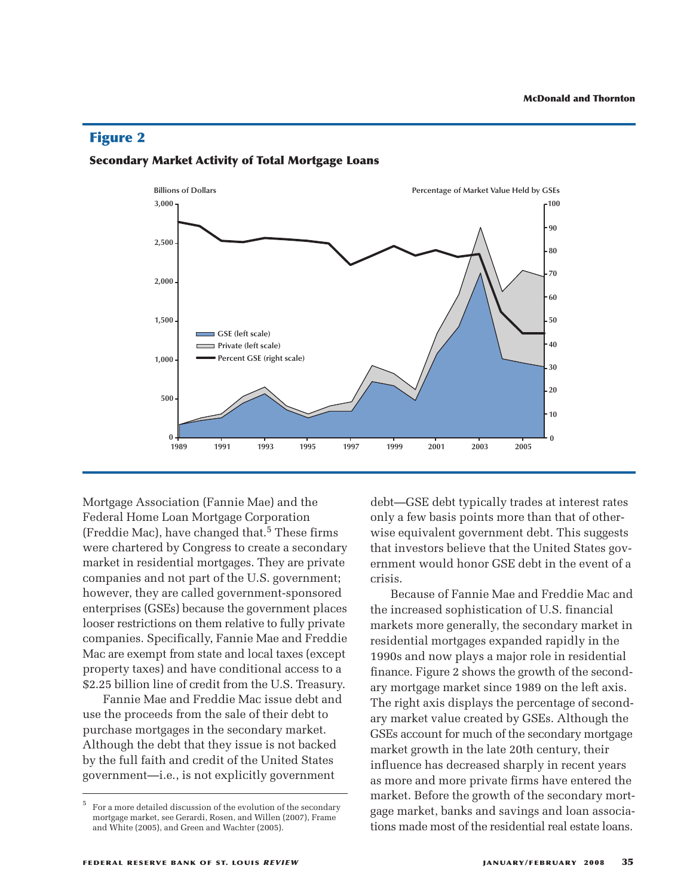## **Figure 2**



#### **Secondary Market Activity of Total Mortgage Loans**

Mortgage Association (Fannie Mae) and the Federal Home Loan Mortgage Corporation (Freddie Mac), have changed that. 5 These firms were chartered by Congress to create a secondary market in residential mortgages. They are private companies and not part of the U.S. government; however, they are called government-sponsored enterprises (GSEs) because the government places looser restrictions on them relative to fully private companies. Specifically, Fannie Mae and Freddie Mac are exempt from state and local taxes (except property taxes) and have conditional access to a \$2.25 billion line of credit from the U.S. Treasury.

Fannie Mae and Freddie Mac issue debt and use the proceeds from the sale of their debt to purchase mortgages in the secondary market. Although the debt that they issue is not backed by the full faith and credit of the United States government—i.e., is not explicitly government

debt—GSE debt typically trades at interest rates only a few basis points more than that of otherwise equivalent government debt. This suggests that investors believe that the United States government would honor GSE debt in the event of a crisis.

Because of Fannie Mae and Freddie Mac and the increased sophistication of U.S. financial markets more generally, the secondary market in residential mortgages expanded rapidly in the 1990s and now plays a major role in residential finance. Figure 2 shows the growth of the secondary mortgage market since 1989 on the left axis. The right axis displays the percentage of secondary market value created by GSEs. Although the GSEs account for much of the secondary mortgage market growth in the late 20th century, their influence has decreased sharply in recent years as more and more private firms have entered the market. Before the growth of the secondary mortgage market, banks and savings and loan associations made most of the residential real estate loans.

<sup>5</sup> For a more detailed discussion of the evolution of the secondary mortgage market, see Gerardi, Rosen, and Willen (2007), Frame and White (2005), and Green and Wachter (2005).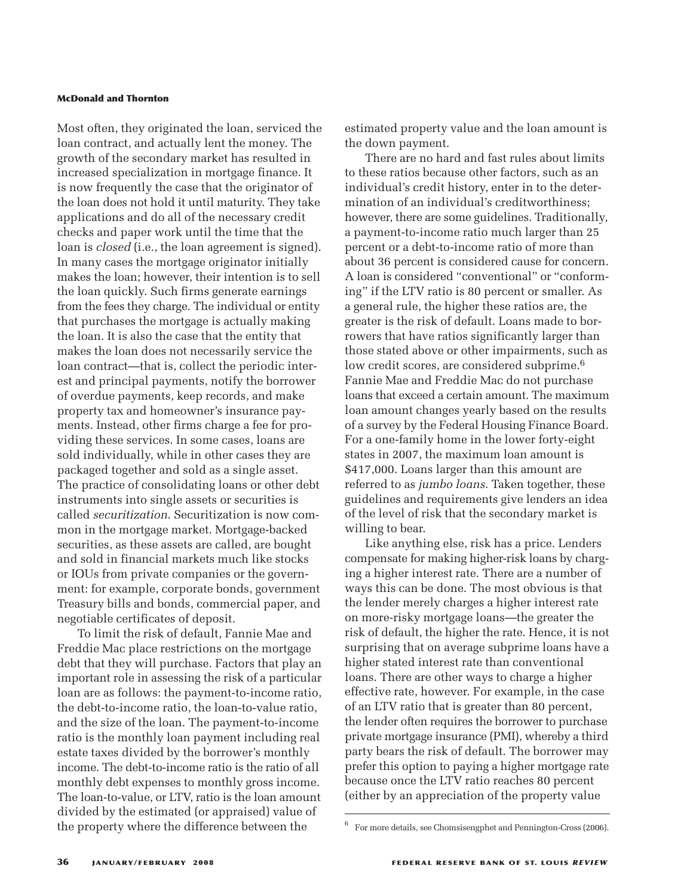Most often, they originated the loan, serviced the loan contract, and actually lent the money. The growth of the secondary market has resulted in increased specialization in mortgage finance. It is now frequently the case that the originator of the loan does not hold it until maturity. They take applications and do all of the necessary credit checks and paper work until the time that the loan is *closed* (i.e., the loan agreement is signed). In many cases the mortgage originator initially makes the loan; however, their intention is to sell the loan quickly. Such firms generate earnings from the fees they charge. The individual or entity that purchases the mortgage is actually making the loan. It is also the case that the entity that makes the loan does not necessarily service the loan contract—that is, collect the periodic interest and principal payments, notify the borrower of overdue payments, keep records, and make property tax and homeowner's insurance payments. Instead, other firms charge a fee for providing these services. In some cases, loans are sold individually, while in other cases they are packaged together and sold as a single asset. The practice of consolidating loans or other debt instruments into single assets or securities is called *securitization*. Securitization is now common in the mortgage market. Mortgage-backed securities, as these assets are called, are bought and sold in financial markets much like stocks or IOUs from private companies or the government: for example, corporate bonds, government Treasury bills and bonds, commercial paper, and negotiable certificates of deposit.

To limit the risk of default, Fannie Mae and Freddie Mac place restrictions on the mortgage debt that they will purchase. Factors that play an important role in assessing the risk of a particular loan are as follows: the payment-to-income ratio, the debt-to-income ratio, the loan-to-value ratio, and the size of the loan. The payment-to-income ratio is the monthly loan payment including real estate taxes divided by the borrower's monthly income. The debt-to-income ratio is the ratio of all monthly debt expenses to monthly gross income. The loan-to-value, or LTV, ratio is the loan amount divided by the estimated (or appraised) value of the property where the difference between the

estimated property value and the loan amount is the down payment.

There are no hard and fast rules about limits to these ratios because other factors, such as an individual's credit history, enter in to the determination of an individual's creditworthiness; however, there are some guidelines. Traditionally, a payment-to-income ratio much larger than 25 percent or a debt-to-income ratio of more than about 36 percent is considered cause for concern. A loan is considered "conventional" or "conforming" if the LTV ratio is 80 percent or smaller. As a general rule, the higher these ratios are, the greater is the risk of default. Loans made to borrowers that have ratios significantly larger than those stated above or other impairments, such as low credit scores, are considered subprime. 6 Fannie Mae and Freddie Mac do not purchase loans that exceed a certain amount. The maximum loan amount changes yearly based on the results of a survey by the Federal Housing Finance Board. For a one-family home in the lower forty-eight states in 2007, the maximum loan amount is \$417,000. Loans larger than this amount are referred to as *jumbo loans*. Taken together, these guidelines and requirements give lenders an idea of the level of risk that the secondary market is willing to bear.

Like anything else, risk has a price. Lenders compensate for making higher-risk loans by charging a higher interest rate. There are a number of ways this can be done. The most obvious is that the lender merely charges a higher interest rate on more-risky mortgage loans—the greater the risk of default, the higher the rate. Hence, it is not surprising that on average subprime loans have a higher stated interest rate than conventional loans. There are other ways to charge a higher effective rate, however. For example, in the case of an LTV ratio that is greater than 80 percent, the lender often requires the borrower to purchase private mortgage insurance (PMI), whereby a third party bears the risk of default. The borrower may prefer this option to paying a higher mortgage rate because once the LTV ratio reaches 80 percent (either by an appreciation of the property value

<sup>6</sup> For more details, see Chomsisengphet and Pennington-Cross (2006).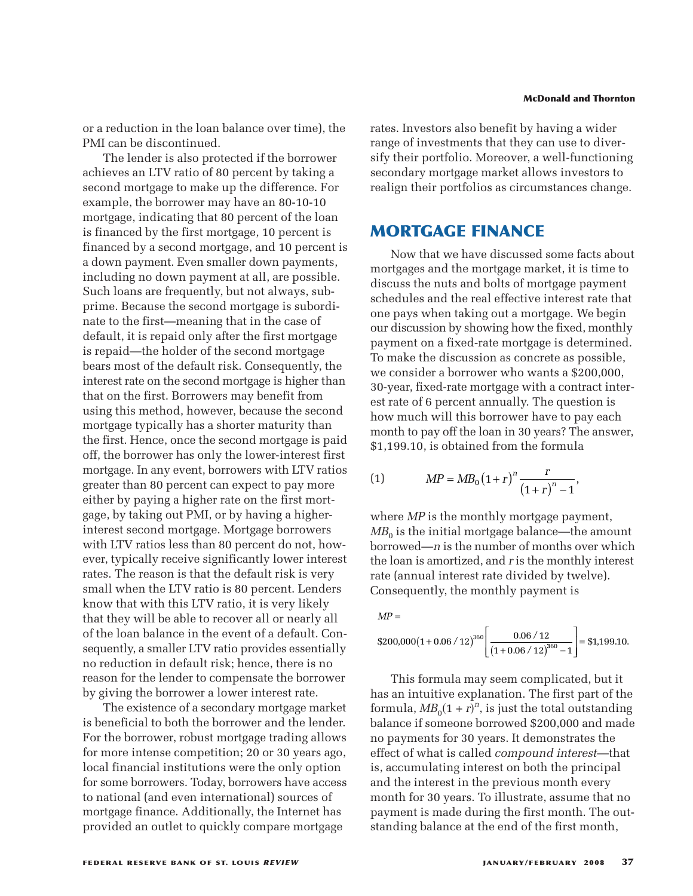or a reduction in the loan balance over time), the PMI can be discontinued.

The lender is also protected if the borrower achieves an LTV ratio of 80 percent by taking a second mortgage to make up the difference. For example, the borrower may have an 80-10-10 mortgage, indicating that 80 percent of the loan is financed by the first mortgage, 10 percent is financed by a second mortgage, and 10 percent is a down payment. Even smaller down payments, including no down payment at all, are possible. Such loans are frequently, but not always, subprime. Because the second mortgage is subordinate to the first—meaning that in the case of default, it is repaid only after the first mortgage is repaid—the holder of the second mortgage bears most of the default risk. Consequently, the interest rate on the second mortgage is higher than that on the first. Borrowers may benefit from using this method, however, because the second mortgage typically has a shorter maturity than the first. Hence, once the second mortgage is paid off, the borrower has only the lower-interest first mortgage. In any event, borrowers with LTV ratios greater than 80 percent can expect to pay more either by paying a higher rate on the first mortgage, by taking out PMI, or by having a higherinterest second mortgage. Mortgage borrowers with LTV ratios less than 80 percent do not, however, typically receive significantly lower interest rates. The reason is that the default risk is very small when the LTV ratio is 80 percent. Lenders know that with this LTV ratio, it is very likely that they will be able to recover all or nearly all of the loan balance in the event of a default. Consequently, a smaller LTV ratio provides essentially no reduction in default risk; hence, there is no reason for the lender to compensate the borrower by giving the borrower a lower interest rate.

The existence of a secondary mortgage market is beneficial to both the borrower and the lender. For the borrower, robust mortgage trading allows for more intense competition; 20 or 30 years ago, local financial institutions were the only option for some borrowers. Today, borrowers have access to national (and even international) sources of mortgage finance. Additionally, the Internet has provided an outlet to quickly compare mortgage

rates. Investors also benefit by having a wider range of investments that they can use to diversify their portfolio. Moreover, a well-functioning secondary mortgage market allows investors to realign their portfolios as circumstances change.

# **MORTGAGE FINANCE**

Now that we have discussed some facts about mortgages and the mortgage market, it is time to discuss the nuts and bolts of mortgage payment schedules and the real effective interest rate that one pays when taking out a mortgage. We begin our discussion by showing how the fixed, monthly payment on a fixed-rate mortgage is determined. To make the discussion as concrete as possible, we consider a borrower who wants a \$200,000, 30-year, fixed-rate mortgage with a contract interest rate of 6 percent annually. The question is how much will this borrower have to pay each month to pay off the loan in 30 years? The answer, \$1,199.10, is obtained from the formula *MP* a fixed-rate mortgage<br> *r* a fixed-rate mortgage<br> *r* a borrower who wan<br> *xed*-rate mortgage with<br>
6 percent annually. The<br> *r* will this borrower have<br> *i* will this borrower have<br> *i* sobtained from the form<br> *MP* fixed-rate mortgage is de<br>iscussion as concrete as p<br>borrower who wants a \$:<br>rate mortgage with a controcent annually. The ques<br>all this borrower have to p<br>off the loan in 30 years? The<br>btained from the formula<br>=  $MB_0(1+r)^$ 

(1) 
$$
MP = MB_0 (1+r)^n \frac{r}{(1+r)^n - 1}
$$

where *MP* is the monthly mortgage payment,  $MB<sub>0</sub>$  is the initial mortgage balance—the amount borrowed—*n* is the number of months over which the loan is amortized, and *r* is the monthly interest rate (annual interest rate divided by twelve). Consequently, the monthly payment is b-year, inxed-rate mortgage with<br>st rate of 6 percent annually. The<br>ow much will this borrower have<br>nonth to pay off the loan in 30 yea<br>1,199.10, is obtained from the fc<br>1,199.10, is obtained from the fc<br>1,199.10, is obta  $\frac{1}{2}$ <br>frower ha<br>n in 30 ye<br>from the f<br> $\frac{1}{2}$ <br> $\frac{1}{2}$ <br> $\frac{1}{2}$ <br> $\frac{1}{2}$ <br> $\frac{1}{2}$ <br> $\frac{1}{2}$ <br> $\frac{1}{2}$ <br> $\frac{1}{2}$ <br> $\frac{1}{2}$ <br> $\frac{1}{2}$ <br> $\frac{1}{2}$ <br> $\frac{1}{2}$ <br> $\frac{1}{2}$ <br> $\frac{1}{2}$ <br> $\frac{1}{2}$ <br> $\frac{1}{2}$ <br> $\frac{1}{2}$ <br> $\frac{1}{2}$ stion is<br>
nay each<br>
ne answer<br>
a<br>
ment,<br>
ne amount<br>
wer whic!<br>
ly interes<br>
elve).<br>
= \$1,199.10.

$$
MP =
$$
  
\$200,000(1+0.06 / 12)<sup>360</sup>  $\left[ \frac{0.06 / 12}{(1+0.06 / 12)^{360} - 1} \right] = $1,199.10$ 

This formula may seem complicated, but it has an intuitive explanation. The first part of the formula,  $MB_0(1 + r)^n$ , is just the total outstanding balance if someone borrowed \$200,000 and made no payments for 30 years. It demonstrates the effect of what is called *compound interest*—that is, accumulating interest on both the principal and the interest in the previous month every month for 30 years. To illustrate, assume that no payment is made during the first month. The outstanding balance at the end of the first month,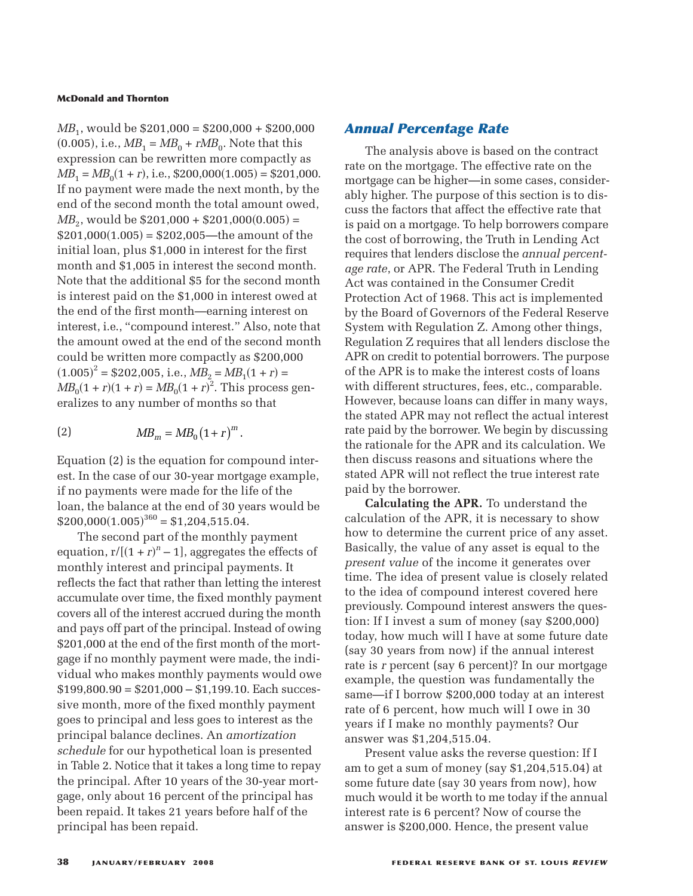*MB*<sub>1</sub>, would be \$201,000 = \$200,000 + \$200,000  $(0.005)$ , i.e.,  $MB_1 = MB_0 + rMB_0$ . Note that this expression can be rewritten more compactly as  $MB_1 = MB_0(1 + r)$ , i.e., \$200,000(1.005) = \$201,000. If no payment were made the next month, by the end of the second month the total amount owed,  $MB_2$ , would be \$201,000 + \$201,000(0.005) =  $$201,000(1.005) = $202,005$ —the amount of the initial loan, plus \$1,000 in interest for the first month and \$1,005 in interest the second month. Note that the additional \$5 for the second month is interest paid on the \$1,000 in interest owed at the end of the first month—earning interest on interest, i.e., "compound interest." Also, note that the amount owed at the end of the second month could be written more compactly as \$200,000  $(1.005)^2 = $202,005$ , i.e.,  $\overline{MB}_2 = \overline{MB}_1(1+r) =$  $MB_0(1 + r)(1 + r) = MB_0(1 + r)^2$ . This process generalizes to any number of months so that the end of the<br>
re compactly  $\varepsilon$ <br>
i.e.,  $MB_2 = MB$ <br>  $BB_0(1+r)^2$ . This<br>
per of months  $\varepsilon$ <br>  $= MB_0(1+r)^m$ .

$$
(2) \t\t\t\tMB_m = MB_0(1+r)^m.
$$

Equation (2) is the equation for compound interest. In the case of our 30-year mortgage example, if no payments were made for the life of the loan, the balance at the end of 30 years would be  $$200,000(1.005)^{360} = $1,204,515.04.$ 

The second part of the monthly payment equation,  $r/[(1 + r)^n - 1]$ , aggregates the effects of monthly interest and principal payments. It reflects the fact that rather than letting the interest accumulate over time, the fixed monthly payment covers all of the interest accrued during the month and pays off part of the principal. Instead of owing \$201,000 at the end of the first month of the mortgage if no monthly payment were made, the individual who makes monthly payments would owe  $$199,800.90 = $201,000 - $1,199.10$ . Each successive month, more of the fixed monthly payment goes to principal and less goes to interest as the principal balance declines. An *amortization schedule* for our hypothetical loan is presented in Table 2. Notice that it takes a long time to repay the principal. After 10 years of the 30-year mortgage, only about 16 percent of the principal has been repaid. It takes 21 years before half of the principal has been repaid.

## *Annual Percentage Rate*

The analysis above is based on the contract rate on the mortgage. The effective rate on the mortgage can be higher—in some cases, considerably higher. The purpose of this section is to discuss the factors that affect the effective rate that is paid on a mortgage. To help borrowers compare the cost of borrowing, the Truth in Lending Act requires that lenders disclose the *annual percentage rate*, or APR. The Federal Truth in Lending Act was contained in the Consumer Credit Protection Act of 1968. This act is implemented by the Board of Governors of the Federal Reserve System with Regulation Z. Among other things, Regulation Z requires that all lenders disclose the APR on credit to potential borrowers. The purpose of the APR is to make the interest costs of loans with different structures, fees, etc., comparable. However, because loans can differ in many ways, the stated APR may not reflect the actual interest rate paid by the borrower. We begin by discussing the rationale for the APR and its calculation. We then discuss reasons and situations where the stated APR will not reflect the true interest rate paid by the borrower.

**Calculating the APR.** To understand the calculation of the APR, it is necessary to show how to determine the current price of any asset. Basically, the value of any asset is equal to the *present value* of the income it generates over time. The idea of present value is closely related to the idea of compound interest covered here previously. Compound interest answers the question: If I invest a sum of money (say \$200,000) today, how much will I have at some future date (say 30 years from now) if the annual interest rate is *r* percent (say 6 percent)? In our mortgage example, the question was fundamentally the same—if I borrow \$200,000 today at an interest rate of 6 percent, how much will I owe in 30 years if I make no monthly payments? Our answer was \$1,204,515.04.

Present value asks the reverse question: If I am to get a sum of money (say \$1,204,515.04) at some future date (say 30 years from now), how much would it be worth to me today if the annual interest rate is 6 percent? Now of course the answer is \$200,000. Hence, the present value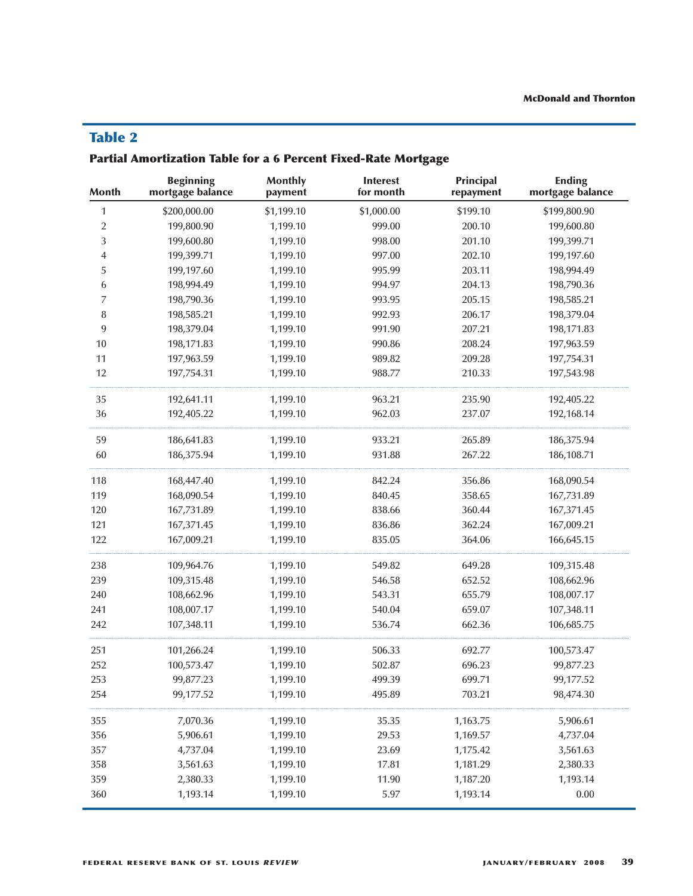# **Table 2**

# **Partial Amortization Table for a 6 Percent Fixed-Rate Mortgage**

| <b>Month</b>   | <b>Beginning</b><br>mortgage balance | <b>Monthly</b><br>payment | <b>Interest</b><br>for month | <b>Principal</b><br>repayment | <b>Ending</b><br>mortgage balance |
|----------------|--------------------------------------|---------------------------|------------------------------|-------------------------------|-----------------------------------|
| 1              | \$200,000.00                         | \$1,199.10                | \$1,000.00                   | \$199.10                      | \$199,800.90                      |
| $\overline{2}$ | 199,800.90                           | 1,199.10                  | 999.00                       | 200.10                        | 199,600.80                        |
| 3              | 199,600.80                           | 1,199.10                  | 998.00                       | 201.10                        | 199,399.71                        |
| 4              | 199,399.71                           | 1,199.10                  | 997.00                       | 202.10                        | 199,197.60                        |
| 5              | 199,197.60                           | 1,199.10                  | 995.99                       | 203.11                        | 198,994.49                        |
| 6              | 198,994.49                           | 1,199.10                  | 994.97                       | 204.13                        | 198,790.36                        |
| $\overline{7}$ | 198,790.36                           | 1,199.10                  | 993.95                       | 205.15                        | 198,585.21                        |
| 8              | 198,585.21                           | 1,199.10                  | 992.93                       | 206.17                        | 198,379.04                        |
| 9              | 198,379.04                           | 1,199.10                  | 991.90                       | 207.21                        | 198,171.83                        |
| $10\,$         | 198,171.83                           | 1,199.10                  | 990.86                       | 208.24                        | 197,963.59                        |
| 11             | 197,963.59                           | 1,199.10                  | 989.82                       | 209.28                        | 197,754.31                        |
| 12             | 197,754.31                           | 1,199.10                  | 988.77                       | 210.33                        | 197,543.98                        |
| 35             | 192,641.11                           | 1,199.10                  | 963.21                       | 235.90                        | 192,405.22                        |
| 36             | 192,405.22                           | 1,199.10                  | 962.03                       | 237.07                        | 192,168.14                        |
| 59             | 186,641.83                           | 1,199.10                  | 933.21                       | 265.89                        | 186,375.94                        |
| 60             | 186,375.94                           | 1,199.10                  | 931.88                       | 267.22                        | 186,108.71                        |
| 118            | 168,447.40                           | 1,199.10                  | 842.24                       | 356.86                        | 168,090.54                        |
| 119            | 168,090.54                           | 1,199.10                  | 840.45                       | 358.65                        | 167,731.89                        |
| 120            | 167,731.89                           | 1,199.10                  | 838.66                       | 360.44                        | 167,371.45                        |
| 121            | 167,371.45                           | 1,199.10                  | 836.86                       | 362.24                        | 167,009.21                        |
| 122            | 167,009.21                           | 1,199.10                  | 835.05                       | 364.06                        | 166,645.15                        |
| 238            | 109,964.76                           | 1,199.10                  | 549.82                       | 649.28                        | 109,315.48                        |
| 239            | 109,315.48                           | 1,199.10                  | 546.58                       | 652.52                        | 108,662.96                        |
| 240            | 108,662.96                           | 1,199.10                  | 543.31                       | 655.79                        | 108,007.17                        |
| 241            | 108,007.17                           | 1,199.10                  | 540.04                       | 659.07                        | 107,348.11                        |
| 242            | 107,348.11                           | 1,199.10                  | 536.74                       | 662.36                        | 106,685.75                        |
| 251            | 101,266.24                           | 1,199.10                  | 506.33                       | 692.77                        | 100,573.47                        |
| 252            | 100,573.47                           | 1,199.10                  | 502.87                       | 696.23                        | 99,877.23                         |
| 253            | 99,877.23                            | 1,199.10                  | 499.39                       | 699.71                        | 99,177.52                         |
| 254            | 99,177.52                            | 1,199.10                  | 495.89                       | 703.21                        | 98,474.30                         |
| 355            | 7,070.36                             | 1,199.10                  | 35.35                        | 1,163.75                      | 5,906.61                          |
| 356            | 5,906.61                             | 1,199.10                  | 29.53                        | 1,169.57                      | 4,737.04                          |
| 357            | 4,737.04                             | 1,199.10                  | 23.69                        | 1,175.42                      | 3,561.63                          |
| 358            | 3,561.63                             | 1,199.10                  | 17.81                        | 1,181.29                      | 2,380.33                          |
| 359            | 2,380.33                             | 1,199.10                  | 11.90                        | 1,187.20                      | 1,193.14                          |
| 360            | 1,193.14                             | 1,199.10                  | 5.97                         | 1,193.14                      | $0.00\,$                          |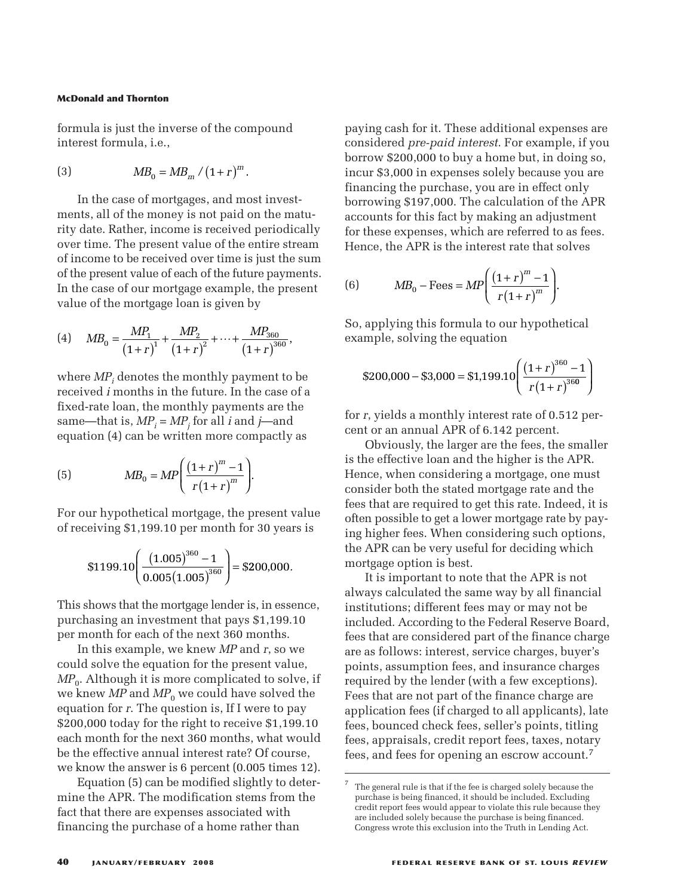formula is just the inverse of the compound interest formula, i.e., **hornton**<br>*t* the inverse of the<br> $la$ , i.e.,<br> $MB_0 = MB_m / (1 + r)$ **1ton**<br> **1.e.,**<br>  $\frac{d}{d}$  =  $MB_m / (1+r)^m$ .

(3) 
$$
MB_0 = MB_m / (1+r)^m.
$$

In the case of mortgages, and most investments, all of the money is not paid on the maturity date. Rather, income is received periodically over time. The present value of the entire stream of income to be received over time is just the sum of the present value of each of the future payments. In the case of our mortgage example, the present value of the mortgage loan is given by  $MB_0 = MB_m / (1+r)^m$ .<br>case of mortgages, and most inve<br>of the money is not paid on the is<br>ather, income is received period<br>The present value of the entire s<br>to be received over time is just then<br>the value of each of the future  $MB_m / (1+r)^m$ .<br>
tgages, and most ir<br>
ey is not paid on th<br>
ome is received perity<br>
trivalue of the entir<br>
red over time is just<br>
each of the future p<br>
tgage example, the<br>
loan is given by<br>  $\frac{MP_2}{(1+r)^2} + \cdots + \frac{MP_{36}}{(1+r)}$ 

(4) 
$$
MB_0 = \frac{MP_1}{(1+r)^1} + \frac{MP_2}{(1+r)^2} + \dots + \frac{MP_{360}}{(1+r)^{360}}
$$

where  $MP_i$  denotes the monthly payment to be received *i* months in the future. In the case of a fixed-rate loan, the monthly payments are the same—that is,  $MP_i = MP_j$  for all *i* and *j*—and equation (4) can be written more compactly as  $\mathbb{R}^p$  of  $M P_i$  denotes the monthly pay<br>  $\mathbb{R}^p$  or  $d$  *i* months in the future. In the rate loan, the monthly payme<br>  $-\text{that is, } MP_i = MP_j \text{ for all } i \text{ and } i$ <br>  $\text{and } (4) \text{ can be written more co}$ <br>  $MB_0 = MP \left( \frac{(1+r)^m - 1}{r(1+r)^m} \right)$ <br>  $\text{and } MB_0 = MP \$ is the monthly parameters in the future<br>
16 in the future<br>
16 *P<sub>i</sub>* = *MP<sub>j</sub>* for all<br>
16 *Pi* = *MP* $\left(\frac{(1+r)^{r}}{r(1+r)^{r}}\right)$ <br>
16 *COD* is the mortgage<br>
16 *COD*  $\left(\frac{(1.005)^{360} - 1}{1.005(1.005)^{360}}\right)$ onthly<br>future<br>hly pa<br>for all<br> $r = r \left(1 + r\right)^m$  $\begin{pmatrix} r \end{pmatrix}^2$  and  $\begin{pmatrix} 1 \end{pmatrix}$  to the future. In the payment of  $\begin{pmatrix} 1 \end{pmatrix}$  and  $\begin{pmatrix} 1 \end{pmatrix}$  and  $\begin{pmatrix} 1 \end{pmatrix}$  and  $\begin{pmatrix} 1 \end{pmatrix}$  and  $\begin{pmatrix} 1 \end{pmatrix}$  and  $\begin{pmatrix} 1 \end{pmatrix}$  and  $\begin{pmatrix} 1 \end{pmatrix}$  and  $\$ 

(5) 
$$
MB_0 = MP\left(\frac{(1+r)^m - 1}{r(1+r)^m}\right).
$$
  
For our hypothetical mortgage, the present of receiving \$1,199.10 per month for 30 yee  
\$1199.10  $\left(\frac{(1.005)^{360} - 1}{\cdots} \right) = $200.000$ 

For our hypothetical mortgage, the present value of receiving \$1,199.10 per month for 30 years is

\$1199.10 
$$
\left( \frac{(1.005)^{360} - 1}{0.005(1.005)^{360}} \right)
$$
 = \$200,000

This shows that the mortgage lender is, in essence, purchasing an investment that pays \$1,199.10 per month for each of the next 360 months.

In this example, we knew *MP* and *r*, so we could solve the equation for the present value,  $MP<sub>0</sub>$ . Although it is more complicated to solve, if we knew  $MP$  and  $MP_0$  we could have solved the equation for *r*. The question is, If I were to pay \$200,000 today for the right to receive \$1,199.10 each month for the next 360 months, what would be the effective annual interest rate? Of course, we know the answer is 6 percent (0.005 times 12).

Equation (5) can be modified slightly to determine the APR. The modification stems from the fact that there are expenses associated with financing the purchase of a home rather than

paying cash for it. These additional expenses are considered *pre-paid interest*. For example, if you borrow \$200,000 to buy a home but, in doing so, incur \$3,000 in expenses solely because you are financing the purchase, you are in effect only borrowing \$197,000. The calculation of the APR accounts for this fact by making an adjustment for these expenses, which are referred to as fees. Hence, the APR is the interest rate that solves islaered *pre-pala interest.* For example, in<br>row \$200,000 to buy a home but, in doing<br>ur \$3,000 in expenses solely because you<br>ancing the purchase, you are in effect only<br>rowing \$197,000. The calculation of the *l*<br>ounts 0.000 to buy a home but, in doir<br>
in expenses solely because yo<br>
e purchase, you are in effect on<br>
197,000. The calculation of the<br>
this fact by making an adjustm<br>
enses, which are referred to as<br>
PR is the interest rate *r*  $r = 1$ <br> *r*  $r = 0$ <br> *r*  $r = 0$ <br> *r*  $r = 1$ <br> *r*  $\left(\frac{r}{r}\right)^m$ <br> *r*  $\left(\frac{r}{r}\right)^{360}$ <br> *r*  $\left(1+r\right)^{360}$ For  $\epsilon$ <br>*reeffer the point dely be are in localating are refer*<br>*reeffer the refer*<br> $\frac{1+r}{r(1+r)}$ ditional exemple to the star in the star in effective to the leader of the star in effective to the star in the star in the star in the star in the star in the star in  $1+r)^m - 1$ For it. These additional of  $e$ -paid interest. For exall to the position of the pair of the parameters of  $p$ -paid interest solely becalculation is fact by making an a mass, which are referred  $PR$  is the interest rate the it. These additional exp<br>paid interest. For examp<br>0 to buy a home but, in  $\alpha$ <br>expenses solely because<br>urchase, you are in effect<br>.000. The calculation of<br>s fact by making an adju<br>ses, which are referred to<br>is the interes

(6) 
$$
MB_0 - \text{Fees} = MP \left( \frac{(1+r)^m - 1}{r(1+r)^m} \right)
$$

So, applying this formula to our hypothetical example, solving the equation

$$
$200,000 - $3,000 = $1,199.10 \left( \frac{\left(1+r\right)^{360} - 1}{r \left(1+r\right)^{360}} \right)
$$

for *r*, yields a monthly interest rate of 0.512 percent or an annual APR of 6.142 percent.

Obviously, the larger are the fees, the smaller is the effective loan and the higher is the APR. Hence, when considering a mortgage, one must consider both the stated mortgage rate and the fees that are required to get this rate. Indeed, it is often possible to get a lower mortgage rate by paying higher fees. When considering such options, the APR can be very useful for deciding which mortgage option is best.

It is important to note that the APR is not always calculated the same way by all financial institutions; different fees may or may not be included. According to the Federal Reserve Board, fees that are considered part of the finance charge are as follows: interest, service charges, buyer's points, assumption fees, and insurance charges required by the lender (with a few exceptions). Fees that are not part of the finance charge are application fees (if charged to all applicants), late fees, bounced check fees, seller's points, titling fees, appraisals, credit report fees, taxes, notary fees, and fees for opening an escrow account. 7

<sup>7</sup> The general rule is that if the fee is charged solely because the purchase is being financed, it should be included. Excluding credit report fees would appear to violate this rule because they are included solely because the purchase is being financed. Congress wrote this exclusion into the Truth in Lending Act.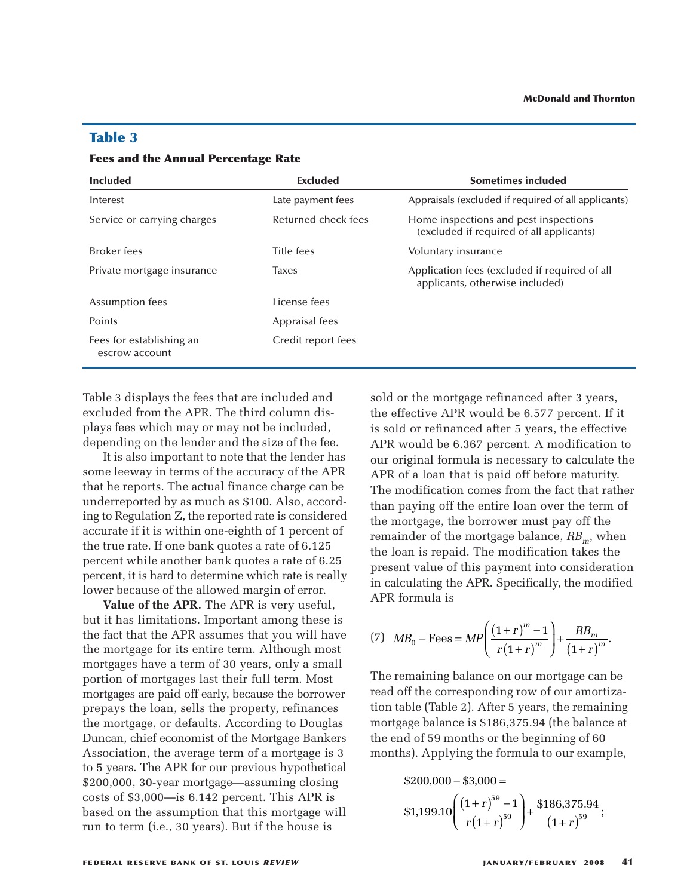| <b>Included</b>                            | <b>Excluded</b>     | <b>Sometimes included</b>                                                         |
|--------------------------------------------|---------------------|-----------------------------------------------------------------------------------|
|                                            |                     |                                                                                   |
| Interest                                   | Late payment fees   | Appraisals (excluded if required of all applicants)                               |
| Service or carrying charges                | Returned check fees | Home inspections and pest inspections<br>(excluded if required of all applicants) |
| <b>Broker</b> fees                         | Title fees          | Voluntary insurance                                                               |
| Private mortgage insurance                 | <b>Taxes</b>        | Application fees (excluded if required of all<br>applicants, otherwise included)  |
| Assumption fees                            | License fees        |                                                                                   |
| Points                                     | Appraisal fees      |                                                                                   |
| Fees for establishing an<br>escrow account | Credit report fees  |                                                                                   |

# **Table 3**

### **Fees and the Annual Percentage Rate**

Table 3 displays the fees that are included and excluded from the APR. The third column displays fees which may or may not be included, depending on the lender and the size of the fee.

It is also important to note that the lender has some leeway in terms of the accuracy of the APR that he reports. The actual finance charge can be underreported by as much as \$100. Also, according to Regulation Z, the reported rate is considered accurate if it is within one-eighth of 1 percent of the true rate. If one bank quotes a rate of 6.125 percent while another bank quotes a rate of 6.25 percent, it is hard to determine which rate is really lower because of the allowed margin of error.

**Value of the APR.** The APR is very useful, but it has limitations. Important among these is the fact that the APR assumes that you will have the mortgage for its entire term. Although most mortgages have a term of 30 years, only a small portion of mortgages last their full term. Most mortgages are paid off early, because the borrower prepays the loan, sells the property, refinances the mortgage, or defaults. According to Douglas Duncan, chief economist of the Mortgage Bankers Association, the average term of a mortgage is 3 to 5 years. The APR for our previous hypothetical \$200,000, 30-year mortgage—assuming closing costs of \$3,000—is 6.142 percent. This APR is based on the assumption that this mortgage will run to term (i.e., 30 years). But if the house is

sold or the mortgage refinanced after 3 years, the effective APR would be 6.577 percent. If it is sold or refinanced after 5 years, the effective APR would be 6.367 percent. A modification to our original formula is necessary to calculate the APR of a loan that is paid off before maturity. The modification comes from the fact that rather than paying off the entire loan over the term of the mortgage, the borrower must pay off the remainder of the mortgage balance,  $RB<sub>m</sub>$ , when the loan is repaid. The modification takes the present value of this payment into consideration in calculating the APR. Specifically, the modified APR formula is *M* Id or refinanced after is<br> *M x* and the 6.367 perce original formula is nece original formula is nece original formula is nece original comodification comes frequency and in the mortgage of the mortgage original. T *rcent.*<br>mecessed off<br>s from<br>wer mage ba<br>modif<br>yment<br>Specif<br> $1+r$ <br> $r(1+r)$ ter 5 year<br>
ercent. A :<br>
necessary<br>
aid off bet<br>
s from the<br>
ire loan of<br>
wer must<br>
age balan<br>
modificat<br>
specifical<br>
1+r)<sup>m</sup> -1 Fremanced after 3 years, the<br>
ild be 6.367 percent. A modif<br>
inal formula is necessary to ca<br>
loan that is paid off before n<br>
ification comes from the fact<br>
ing off the entire loan over th<br>
gage, the borrower must pay<br>
or etinanced after 5 years, the effect<br>d be 6.367 percent. A modification<br>l formula is necessary to calculate<br>ban that is paid off before maturit<br>ication comes from the fact that ra<br>g off the entire loan over the term<br>ge, th

(7) 
$$
MB_0 - \text{Fees} = MP \left( \frac{(1+r)^m - 1}{r(1+r)^m} \right) + \frac{RB_m}{(1+r)^m}.
$$

The remaining balance on our mortgage can be read off the corresponding row of our amortization table (Table 2). After 5 years, the remaining mortgage balance is \$186,375.94 (the balance at the end of 59 months or the beginning of 60 months). Applying the formula to our example,  $B_0$  – Fees =  $M$ <br>maining balan<br>ff the correspo<br>ble (Table 2).<br>age balance is<br>d of 59 month<br>s). Applying t<br>\$200,000 – \$3,  $B_0$  – Fe $\,$ mainir $\,$ ff the c $\,$ ble (Ta $\,$ age bal $\,$ d of 59 $\,$ s). App $\,$ \$200,00 $\,$ \$1,199.  $B_0$  – Fees =  $MP\left(\frac{(1+r)^2}{r(1-r)}\right)$ <br>
in the corresponding pole (Table 2). After 5<br>
ge balance is \$186,3%<br>
of 59 months or the<br>
delingthermian of the form<br>
200,000 – \$3,000 =<br>
1.199.10  $\left(\frac{(1+r)^{59}-1}{\cdots}\right)$  $\frac{(17)}{1}$  and items of the set of the set of the set of the set of  $59$  $=MP\left(\frac{(1-p)^2}{r}\right)$ <br>balance on<br>responding 2). After<br>ce is \$186<br>onths or t<br>ing the fo<br>- \$3,000 =  $r = MP \left( \frac{r}{r} \right)$ <br>
balance<br>
respondi<br>
e 2). Afte<br>
ce is \$18<br>
onths or<br>
ing the iffer the same of the same of the same<br>  $r(1+r)^{56}$  $\left( \frac{Rl}{1 + \frac{1}{1 + \frac{1}{1 + \frac{1}{1 + \frac{1}{1 + \frac{1}{1 + \frac{1}{1 + \frac{1}{1 + \frac{1}{1 + \frac{1}{1 + \frac{1}{1 + \frac{1}{1 + \frac{1}{1 + \frac{1}{1 + \frac{1}{1 + \frac{1}{1 + \frac{1}{1 + \frac{1}{1 + \frac{1}{1 + \frac{1}{1 + \frac{1}{1 + \frac{1}{1 + \frac{1}{1 + \frac{1}{1 + \frac{1}{1 + \frac{1}{1 + \frac{1}{1 + \frac{1}{1 + \frac{1}{1 + \frac{1}{1 + \frac{1}{1$ 

$$
$200,000 - $3,000 =\n$1,199.10 \left( \frac{\left(1+r\right)^{59} - 1}{r\left(1+r\right)^{59}} \right) + \frac{$186,375.94}{\left(1+r\right)^{59}};
$$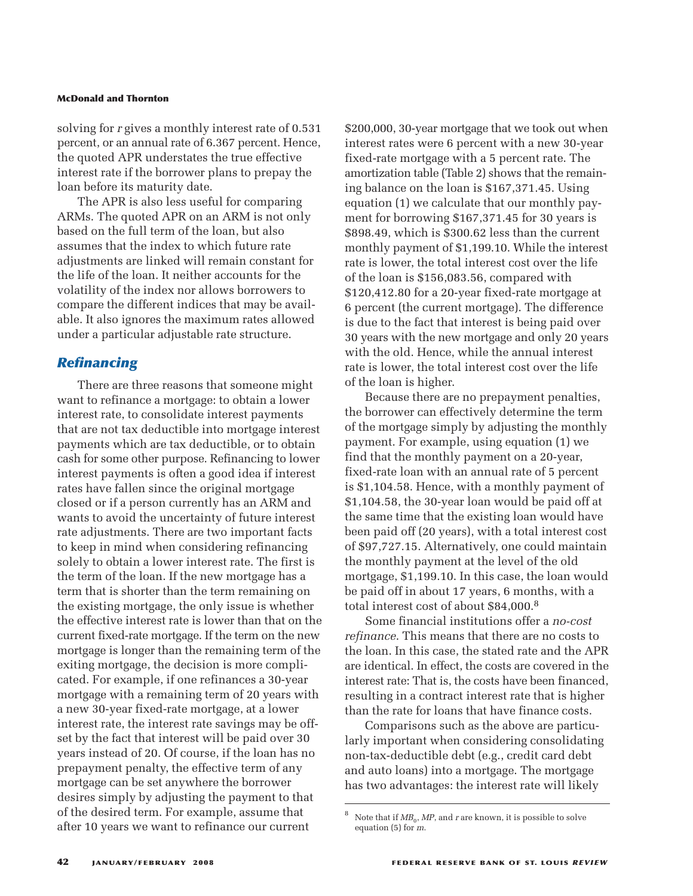solving for *r* gives a monthly interest rate of 0.531 percent, or an annual rate of 6.367 percent. Hence, the quoted APR understates the true effective interest rate if the borrower plans to prepay the loan before its maturity date.

The APR is also less useful for comparing ARMs. The quoted APR on an ARM is not only based on the full term of the loan, but also assumes that the index to which future rate adjustments are linked will remain constant for the life of the loan. It neither accounts for the volatility of the index nor allows borrowers to compare the different indices that may be available. It also ignores the maximum rates allowed under a particular adjustable rate structure.

## *Refinancing*

There are three reasons that someone might want to refinance a mortgage: to obtain a lower interest rate, to consolidate interest payments that are not tax deductible into mortgage interest payments which are tax deductible, or to obtain cash for some other purpose. Refinancing to lower interest payments is often a good idea if interest rates have fallen since the original mortgage closed or if a person currently has an ARM and wants to avoid the uncertainty of future interest rate adjustments. There are two important facts to keep in mind when considering refinancing solely to obtain a lower interest rate. The first is the term of the loan. If the new mortgage has a term that is shorter than the term remaining on the existing mortgage, the only issue is whether the effective interest rate is lower than that on the current fixed-rate mortgage. If the term on the new mortgage is longer than the remaining term of the exiting mortgage, the decision is more complicated. For example, if one refinances a 30-year mortgage with a remaining term of 20 years with a new 30-year fixed-rate mortgage, at a lower interest rate, the interest rate savings may be offset by the fact that interest will be paid over 30 years instead of 20. Of course, if the loan has no prepayment penalty, the effective term of any mortgage can be set anywhere the borrower desires simply by adjusting the payment to that of the desired term. For example, assume that after 10 years we want to refinance our current

\$200,000, 30-year mortgage that we took out when interest rates were 6 percent with a new 30-year fixed-rate mortgage with a 5 percent rate. The amortization table (Table 2) shows that the remaining balance on the loan is \$167,371.45. Using equation (1) we calculate that our monthly payment for borrowing \$167,371.45 for 30 years is \$898.49, which is \$300.62 less than the current monthly payment of \$1,199.10. While the interest rate is lower, the total interest cost over the life of the loan is \$156,083.56, compared with \$120,412.80 for a 20-year fixed-rate mortgage at 6 percent (the current mortgage). The difference is due to the fact that interest is being paid over 30 years with the new mortgage and only 20 years with the old. Hence, while the annual interest rate is lower, the total interest cost over the life of the loan is higher.

Because there are no prepayment penalties, the borrower can effectively determine the term of the mortgage simply by adjusting the monthly payment. For example, using equation (1) we find that the monthly payment on a 20-year, fixed-rate loan with an annual rate of 5 percent is \$1,104.58. Hence, with a monthly payment of \$1,104.58, the 30-year loan would be paid off at the same time that the existing loan would have been paid off (20 years), with a total interest cost of \$97,727.15. Alternatively, one could maintain the monthly payment at the level of the old mortgage, \$1,199.10. In this case, the loan would be paid off in about 17 years, 6 months, with a total interest cost of about \$84,000. 8

Some financial institutions offer a *no-cost refinance*. This means that there are no costs to the loan. In this case, the stated rate and the APR are identical. In effect, the costs are covered in the interest rate: That is, the costs have been financed, resulting in a contract interest rate that is higher than the rate for loans that have finance costs.

Comparisons such as the above are particularly important when considering consolidating non-tax-deductible debt (e.g., credit card debt and auto loans) into a mortgage. The mortgage has two advantages: the interest rate will likely

Note that if  $MB_0$ , MP, and *r* are known, it is possible to solve equation (5) for *m*.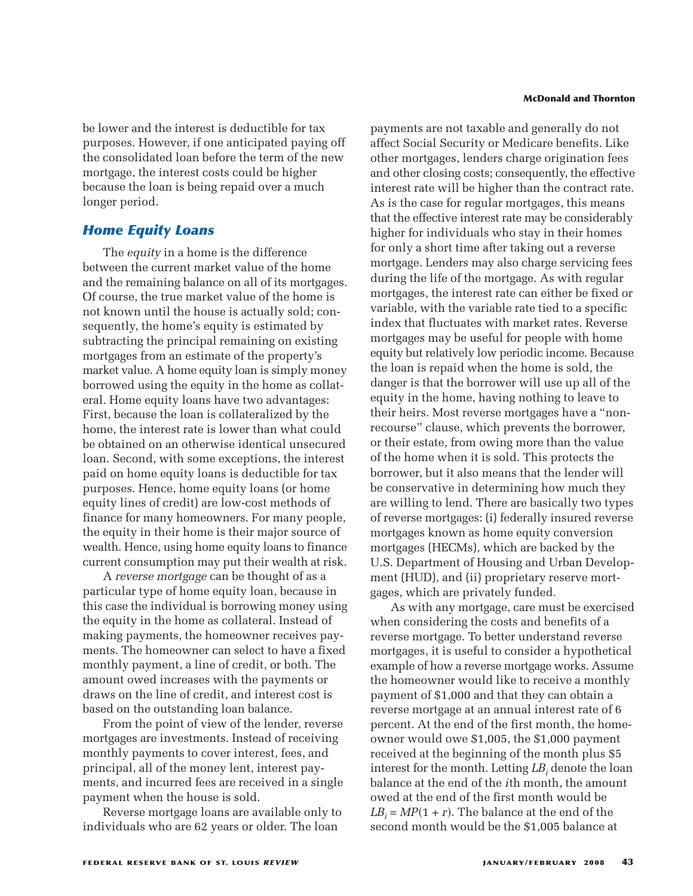be lower and the interest is deductible for tax purposes. However, if one anticipated paying off the consolidated loan before the term of the new mortgage, the interest costs could be higher because the loan is being repaid over a much longer period.

## *Home Equity Loans*

The *equity* in a home is the difference between the current market value of the home and the remaining balance on all of its mortgages. Of course, the true market value of the home is not known until the house is actually sold; consequently, the home's equity is estimated by subtracting the principal remaining on existing mortgages from an estimate of the property's market value. A home equity loan is simply money borrowed using the equity in the home as collateral. Home equity loans have two advantages: First, because the loan is collateralized by the home, the interest rate is lower than what could be obtained on an otherwise identical unsecured loan. Second, with some exceptions, the interest paid on home equity loans is deductible for tax purposes. Hence, home equity loans (or home equity lines of credit) are low-cost methods of finance for many homeowners. For many people, the equity in their home is their major source of wealth. Hence, using home equity loans to finance current consumption may put their wealth at risk.

A *reverse mortgage* can be thought of as a particular type of home equity loan, because in this case the individual is borrowing money using the equity in the home as collateral. Instead of making payments, the homeowner receives payments. The homeowner can select to have a fixed monthly payment, a line of credit, or both. The amount owed increases with the payments or draws on the line of credit, and interest cost is based on the outstanding loan balance.

From the point of view of the lender, reverse mortgages are investments. Instead of receiving monthly payments to cover interest, fees, and principal, all of the money lent, interest payments, and incurred fees are received in a single payment when the house is sold.

Reverse mortgage loans are available only to individuals who are 62 years or older. The loan

#### **McDonald and Thornton**

payments are not taxable and generally do not affect Social Security or Medicare benefits. Like other mortgages, lenders charge origination fees and other closing costs; consequently, the effective interest rate will be higher than the contract rate. As is the case for regular mortgages, this means that the effective interest rate may be considerably higher for individuals who stay in their homes for only a short time after taking out a reverse mortgage. Lenders may also charge servicing fees during the life of the mortgage. As with regular mortgages, the interest rate can either be fixed or variable, with the variable rate tied to a specific index that fluctuates with market rates. Reverse mortgages may be useful for people with home equity but relatively low periodic income. Because the loan is repaid when the home is sold, the danger is that the borrower will use up all of the equity in the home, having nothing to leave to their heirs. Most reverse mortgages have a "nonrecourse" clause, which prevents the borrower, or their estate, from owing more than the value of the home when it is sold. This protects the borrower, but it also means that the lender will be conservative in determining how much they are willing to lend. There are basically two types of reverse mortgages: (i) federally insured reverse mortgages known as home equity conversion mortgages (HECMs), which are backed by the U.S. Department of Housing and Urban Development (HUD), and (ii) proprietary reserve mortgages, which are privately funded.

As with any mortgage, care must be exercised when considering the costs and benefits of a reverse mortgage. To better understand reverse mortgages, it is useful to consider a hypothetical example of how a reverse mortgage works. Assume the homeowner would like to receive a monthly payment of \$1,000 and that they can obtain a reverse mortgage at an annual interest rate of 6 percent. At the end of the first month, the homeowner would owe \$1,005, the \$1,000 payment received at the beginning of the month plus \$5 interest for the month. Letting LB<sub>i</sub> denote the loan balance at the end of the *i*th month, the amount owed at the end of the first month would be  $LB<sub>i</sub> = MP(1 + r)$ . The balance at the end of the second month would be the \$1,005 balance at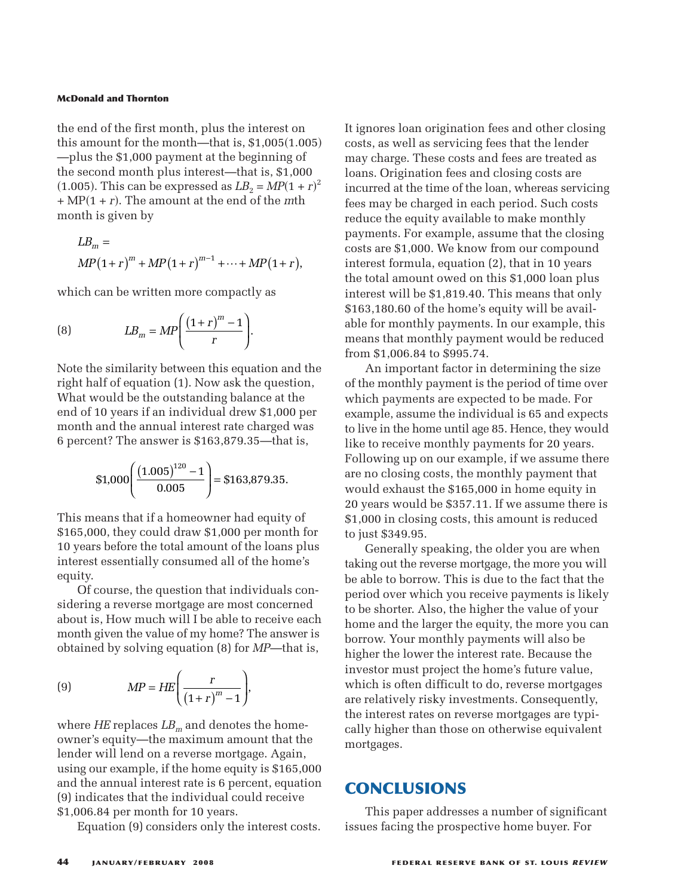the end of the first month, plus the interest on this amount for the month—that is,  $$1,005(1.005)$ —plus the \$1,000 payment at the beginning of the second month plus interest—that is, \$1,000 (1.005). This can be expressed as  $LB<sub>2</sub> = MP(1 + r)<sup>2</sup>$ + MP1 + *r*-. The amount at the end of the *m*th month is given by **onald and Thornton**<br>
end of the first month, plus the interest a<br>
amount for the month—that is, \$1,005(1<br>
lus the \$1,000 payment at the beginning<br>
second month plus interest—that is, \$1,<br>
05). This can be expressed as  $LB$ Fhornton<br> **p** first month, p<br>
or the month—<br>
,000 payment<br>
onth plus inte<br>
can be express<br>
The amount at<br>
an by<br>  $\binom{m}{k}$   $\binom{MP(1+r)^m}{k}$ (**a and Thornton**<br>
(**c**) ount for the month—that is, \$1,005(1.<br>
the \$1,000 payment at the beginning cond month plus interest—that is, \$1,0<br>
This can be expressed as  $LB_2 = MP(1 + r)$ . The amount at the end of the *m*tis give

$$
dP(1 + r)
$$
. The amount at the end of the *m*th  
onth is given by  

$$
LB_m =
$$

$$
MP(1+r)^m + MP(1+r)^{m-1} + \dots + MP(1+r),
$$
which can be written more compactly as  

$$
LB_m = MP\left(\frac{(1+r)^m - 1}{m}\right).
$$

which can be written more compactly as

(8) 
$$
LB_m = MP \bigg( \frac{(1+r)^m - 1}{r} \bigg).
$$

Note the similarity between this equation and the right half of equation (1). Now ask the question, What would be the outstanding balance at the end of 10 years if an individual drew \$1,000 per month and the annual interest rate charged was 6 percent? The answer is \$163,879.35—that is, can be written more compactly as<br>  $LB_m = MP\left(\frac{(1+r)^m - 1}{r}\right)$ .<br>
e similarity between this equation as<br>
alf of equation (1). Now ask the ques<br>
vould be the outstanding balance at<br>
10 years if an individual drew \$1,00<br>
and the  $MP\left(\frac{(1+r)^m - 1}{r}\right)$ .<br>between this equation a<br>on (1). Now ask the ques<br>e outstanding balance at<br>in individual drew \$1,00<br>uual interest rate charges<br>wer is \$163,879.35—tha<br> $\frac{(05)^{120} - 1}{0.005}$  = \$163,879.35

$$
$1,000\left(\frac{(1.005)^{120} - 1}{0.005}\right) = $163,879.35
$$

This means that if a homeowner had equity of \$165,000, they could draw \$1,000 per month for 10 years before the total amount of the loans plus interest essentially consumed all of the home's equity.

Of course, the question that individuals considering a reverse mortgage are most concerned about is, How much will I be able to receive each month given the value of my home? The answer is obtained by solving equation (8) for *MP*—that is, *M*; the question the verse mortgage as  $V$  much will I be the value of my halo is a point of my halo is a point  $MP = HE \left( \frac{I}{\frac{1}{2}} \right)$ on that ind<br>age are mos<br>
1 I be able to<br>
1 my home?<br>
ation (8) for<br>  $\frac{r}{1+r}$ 

(9) 
$$
MP = HE\left(\frac{r}{(1+r)^m - 1}\right),
$$

where  $H\!E$  replaces  $LB<sub>m</sub>$  and denotes the homeowner's equity—the maximum amount that the lender will lend on a reverse mortgage. Again, using our example, if the home equity is \$165,000 and the annual interest rate is 6 percent, equation (9) indicates that the individual could receive \$1,006.84 per month for 10 years.

Equation (9) considers only the interest costs.

It ignores loan origination fees and other closing costs, as well as servicing fees that the lender may charge. These costs and fees are treated as loans. Origination fees and closing costs are incurred at the time of the loan, whereas servicing fees may be charged in each period. Such costs reduce the equity available to make monthly payments. For example, assume that the closing costs are \$1,000. We know from our compound interest formula, equation (2), that in 10 years the total amount owed on this \$1,000 loan plus interest will be \$1,819.40. This means that only \$163,180.60 of the home's equity will be available for monthly payments. In our example, this means that monthly payment would be reduced from \$1,006.84 to \$995.74.

An important factor in determining the size of the monthly payment is the period of time over which payments are expected to be made. For example, assume the individual is 65 and expects to live in the home until age 85. Hence, they would like to receive monthly payments for 20 years. Following up on our example, if we assume there are no closing costs, the monthly payment that would exhaust the \$165,000 in home equity in 20 years would be \$357.11. If we assume there is \$1,000 in closing costs, this amount is reduced to just \$349.95.

Generally speaking, the older you are when taking out the reverse mortgage, the more you will be able to borrow. This is due to the fact that the period over which you receive payments is likely to be shorter. Also, the higher the value of your home and the larger the equity, the more you can borrow. Your monthly payments will also be higher the lower the interest rate. Because the investor must project the home's future value, which is often difficult to do, reverse mortgages are relatively risky investments. Consequently, the interest rates on reverse mortgages are typically higher than those on otherwise equivalent mortgages.

# **CONCLUSIONS**

This paper addresses a number of significant issues facing the prospective home buyer. For